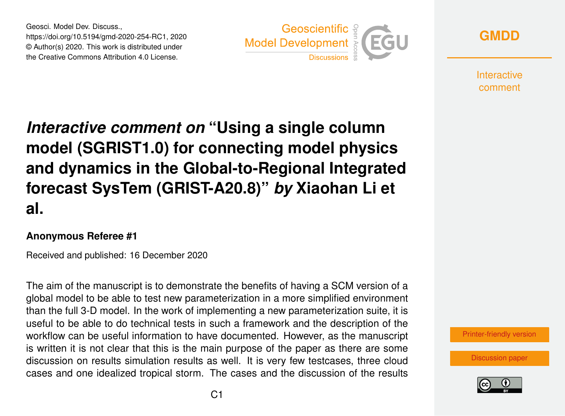Geosci. Model Dev. Discuss., https://doi.org/10.5194/gmd-2020-254-RC1, 2020 © Author(s) 2020. This work is distributed under the Creative Commons Attribution 4.0 License.





**Interactive** comment

*Interactive comment on* **"Using a single column model (SGRIST1.0) for connecting model physics and dynamics in the Global-to-Regional Integrated forecast SysTem (GRIST-A20.8)"** *by* **Xiaohan Li et al.**

## **Anonymous Referee #1**

Received and published: 16 December 2020

The aim of the manuscript is to demonstrate the benefits of having a SCM version of a global model to be able to test new parameterization in a more simplified environment than the full 3-D model. In the work of implementing a new parameterization suite, it is useful to be able to do technical tests in such a framework and the description of the workflow can be useful information to have documented. However, as the manuscript is written it is not clear that this is the main purpose of the paper as there are some discussion on results simulation results as well. It is very few testcases, three cloud cases and one idealized tropical storm. The cases and the discussion of the results



[Discussion paper](https://gmd.copernicus.org/preprints/gmd-2020-254)

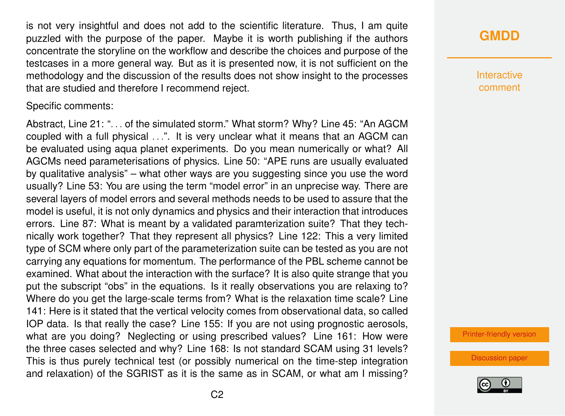is not very insightful and does not add to the scientific literature. Thus, I am quite puzzled with the purpose of the paper. Maybe it is worth publishing if the authors concentrate the storyline on the workflow and describe the choices and purpose of the testcases in a more general way. But as it is presented now, it is not sufficient on the methodology and the discussion of the results does not show insight to the processes that are studied and therefore I recommend reject.

Specific comments:

Abstract, Line 21: ". . . of the simulated storm." What storm? Why? Line 45: "An AGCM coupled with a full physical . . .". It is very unclear what it means that an AGCM can be evaluated using aqua planet experiments. Do you mean numerically or what? All AGCMs need parameterisations of physics. Line 50: "APE runs are usually evaluated by qualitative analysis" – what other ways are you suggesting since you use the word usually? Line 53: You are using the term "model error" in an unprecise way. There are several layers of model errors and several methods needs to be used to assure that the model is useful, it is not only dynamics and physics and their interaction that introduces errors. Line 87: What is meant by a validated paramterization suite? That they technically work together? That they represent all physics? Line 122: This a very limited type of SCM where only part of the parameterization suite can be tested as you are not carrying any equations for momentum. The performance of the PBL scheme cannot be examined. What about the interaction with the surface? It is also quite strange that you put the subscript "obs" in the equations. Is it really observations you are relaxing to? Where do you get the large-scale terms from? What is the relaxation time scale? Line 141: Here is it stated that the vertical velocity comes from observational data, so called IOP data. Is that really the case? Line 155: If you are not using prognostic aerosols, what are you doing? Neglecting or using prescribed values? Line 161: How were the three cases selected and why? Line 168: Is not standard SCAM using 31 levels? This is thus purely technical test (or possibly numerical on the time-step integration and relaxation) of the SGRIST as it is the same as in SCAM, or what am I missing?

**[GMDD](https://gmd.copernicus.org/preprints/)**

**Interactive** comment

[Printer-friendly version](https://gmd.copernicus.org/preprints/gmd-2020-254/gmd-2020-254-RC1-print.pdf)

[Discussion paper](https://gmd.copernicus.org/preprints/gmd-2020-254)